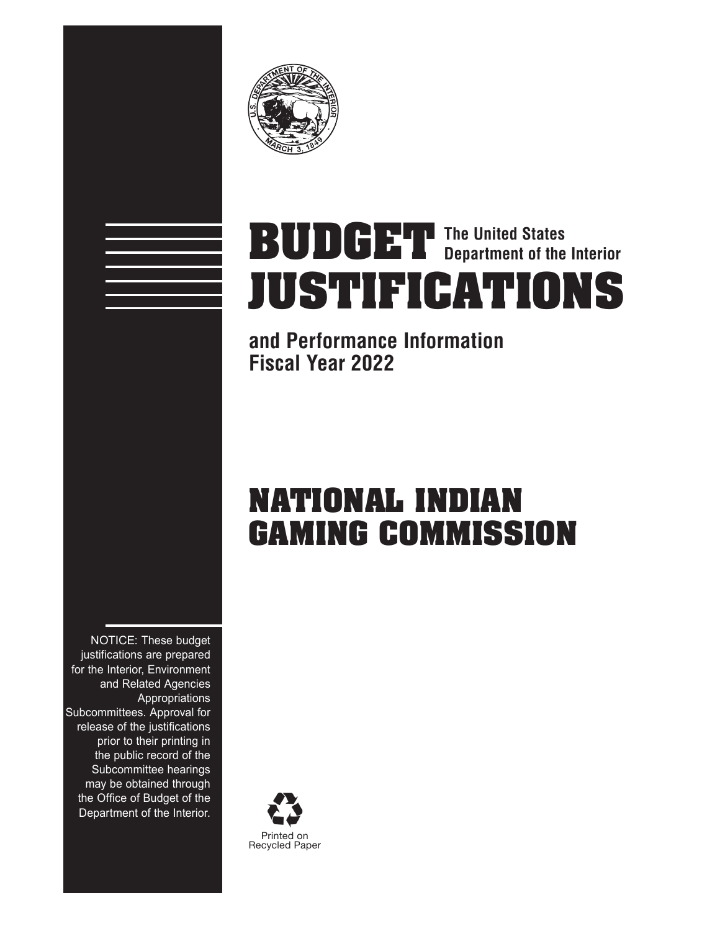

# **The United States BUDGET Department of the Interior JUSTIFICATIONS**

## **and Performance Information Fiscal Year 2022**

## **NATIONAL INDIAN GAMING COMMISSION**

NOTICE: These budget justifications are prepared for the Interior, Environment and Related Agencies Appropriations Subcommittees. Approval for release of the justifications prior to their printing in the public record of the Subcommittee hearings may be obtained through the Office of Budget of the Department of the Interior.

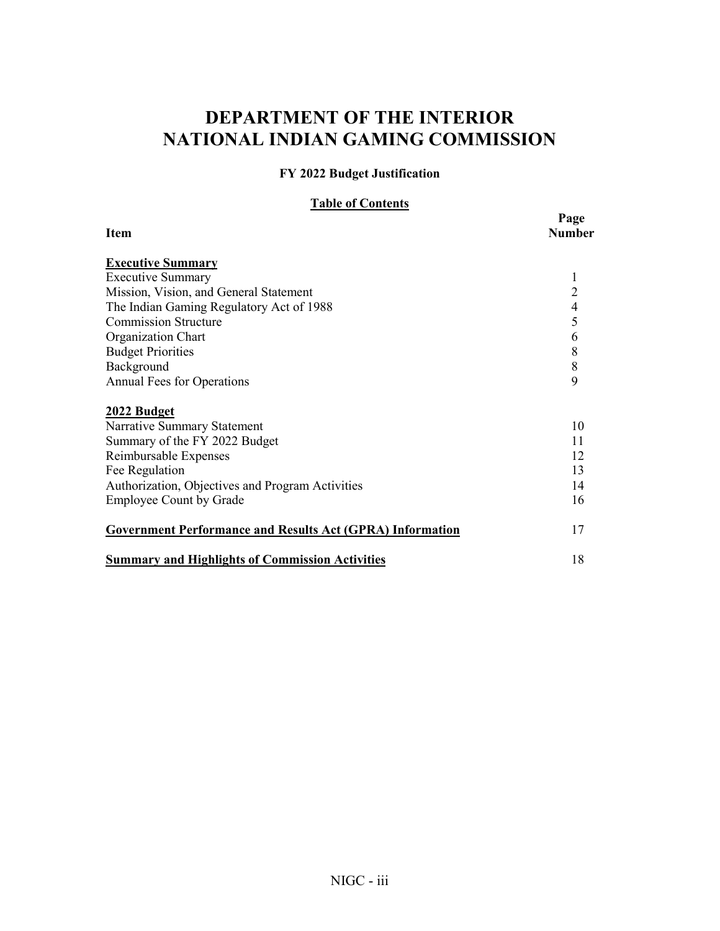## **DEPARTMENT OF THE INTERIOR NATIONAL INDIAN GAMING COMMISSION**

**FY 2022 Budget Justification** 

**Table of Contents**

|                                                                  | Page                     |  |
|------------------------------------------------------------------|--------------------------|--|
| <b>Item</b>                                                      | <b>Number</b>            |  |
| <b>Executive Summary</b>                                         |                          |  |
| <b>Executive Summary</b>                                         | 1                        |  |
| Mission, Vision, and General Statement                           | $\overline{2}$           |  |
| The Indian Gaming Regulatory Act of 1988                         | $\overline{\mathcal{L}}$ |  |
| <b>Commission Structure</b>                                      | 5                        |  |
| Organization Chart                                               | 6                        |  |
| <b>Budget Priorities</b>                                         | $\,$ $\,$                |  |
| Background                                                       | $\,$ $\,$                |  |
| <b>Annual Fees for Operations</b>                                | 9                        |  |
| 2022 Budget                                                      |                          |  |
| Narrative Summary Statement                                      | 10                       |  |
| Summary of the FY 2022 Budget                                    | 11                       |  |
| Reimbursable Expenses                                            | 12                       |  |
| Fee Regulation                                                   | 13                       |  |
| Authorization, Objectives and Program Activities                 | 14                       |  |
| <b>Employee Count by Grade</b>                                   | 16                       |  |
| <b>Government Performance and Results Act (GPRA) Information</b> | 17                       |  |
| <b>Summary and Highlights of Commission Activities</b>           | 18                       |  |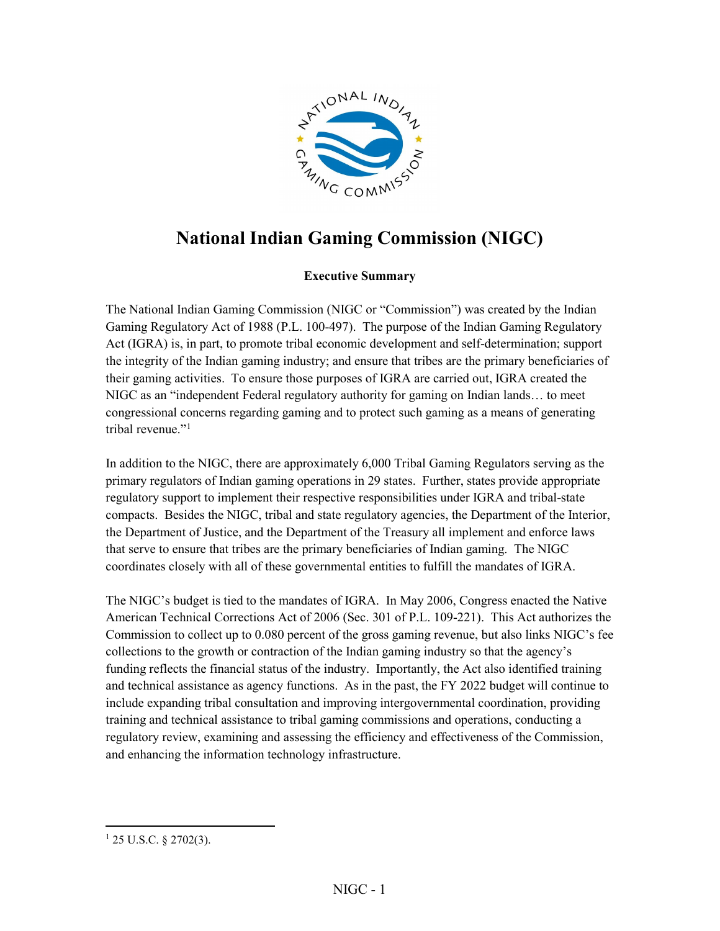

## <span id="page-3-0"></span>**National Indian Gaming Commission (NIGC)**

#### **Executive Summary**

The National Indian Gaming Commission (NIGC or "Commission") was created by the Indian Gaming Regulatory Act of 1988 (P.L. 100-497). The purpose of the Indian Gaming Regulatory Act (IGRA) is, in part, to promote tribal economic development and self-determination; support the integrity of the Indian gaming industry; and ensure that tribes are the primary beneficiaries of their gaming activities. To ensure those purposes of IGRA are carried out, IGRA created the NIGC as an "independent Federal regulatory authority for gaming on Indian lands… to meet congressional concerns regarding gaming and to protect such gaming as a means of generating tribal revenue."<sup>[1](#page-3-1)</sup>

In addition to the NIGC, there are approximately 6,000 Tribal Gaming Regulators serving as the primary regulators of Indian gaming operations in 29 states. Further, states provide appropriate regulatory support to implement their respective responsibilities under IGRA and tribal-state compacts. Besides the NIGC, tribal and state regulatory agencies, the Department of the Interior, the Department of Justice, and the Department of the Treasury all implement and enforce laws that serve to ensure that tribes are the primary beneficiaries of Indian gaming. The NIGC coordinates closely with all of these governmental entities to fulfill the mandates of IGRA.

The NIGC's budget is tied to the mandates of IGRA. In May 2006, Congress enacted the Native American Technical Corrections Act of 2006 (Sec. 301 of P.L. 109-221). This Act authorizes the Commission to collect up to 0.080 percent of the gross gaming revenue, but also links NIGC's fee collections to the growth or contraction of the Indian gaming industry so that the agency's funding reflects the financial status of the industry. Importantly, the Act also identified training and technical assistance as agency functions. As in the past, the FY 2022 budget will continue to include expanding tribal consultation and improving intergovernmental coordination, providing training and technical assistance to tribal gaming commissions and operations, conducting a regulatory review, examining and assessing the efficiency and effectiveness of the Commission, and enhancing the information technology infrastructure.

 $\overline{a}$ 

<span id="page-3-1"></span> $125$  U.S.C. § 2702(3).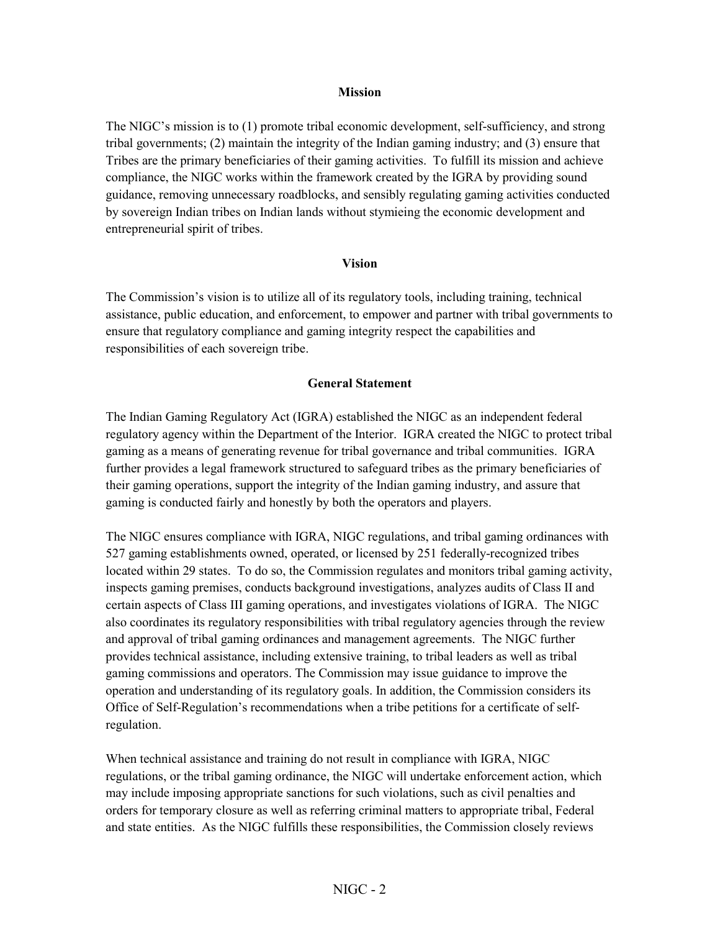#### **Mission**

<span id="page-4-0"></span>The NIGC's mission is to (1) promote tribal economic development, self-sufficiency, and strong tribal governments; (2) maintain the integrity of the Indian gaming industry; and (3) ensure that Tribes are the primary beneficiaries of their gaming activities. To fulfill its mission and achieve compliance, the NIGC works within the framework created by the IGRA by providing sound guidance, removing unnecessary roadblocks, and sensibly regulating gaming activities conducted by sovereign Indian tribes on Indian lands without stymieing the economic development and entrepreneurial spirit of tribes.

#### **Vision**

The Commission's vision is to utilize all of its regulatory tools, including training, technical assistance, public education, and enforcement, to empower and partner with tribal governments to ensure that regulatory compliance and gaming integrity respect the capabilities and responsibilities of each sovereign tribe.

#### **General Statement**

The Indian Gaming Regulatory Act (IGRA) established the NIGC as an independent federal regulatory agency within the Department of the Interior. IGRA created the NIGC to protect tribal gaming as a means of generating revenue for tribal governance and tribal communities. IGRA further provides a legal framework structured to safeguard tribes as the primary beneficiaries of their gaming operations, support the integrity of the Indian gaming industry, and assure that gaming is conducted fairly and honestly by both the operators and players.

The NIGC ensures compliance with IGRA, NIGC regulations, and tribal gaming ordinances with 527 gaming establishments owned, operated, or licensed by 251 federally-recognized tribes located within 29 states. To do so, the Commission regulates and monitors tribal gaming activity, inspects gaming premises, conducts background investigations, analyzes audits of Class II and certain aspects of Class III gaming operations, and investigates violations of IGRA. The NIGC also coordinates its regulatory responsibilities with tribal regulatory agencies through the review and approval of tribal gaming ordinances and management agreements. The NIGC further provides technical assistance, including extensive training, to tribal leaders as well as tribal gaming commissions and operators. The Commission may issue guidance to improve the operation and understanding of its regulatory goals. In addition, the Commission considers its Office of Self-Regulation's recommendations when a tribe petitions for a certificate of selfregulation.

When technical assistance and training do not result in compliance with IGRA, NIGC regulations, or the tribal gaming ordinance, the NIGC will undertake enforcement action, which may include imposing appropriate sanctions for such violations, such as civil penalties and orders for temporary closure as well as referring criminal matters to appropriate tribal, Federal and state entities. As the NIGC fulfills these responsibilities, the Commission closely reviews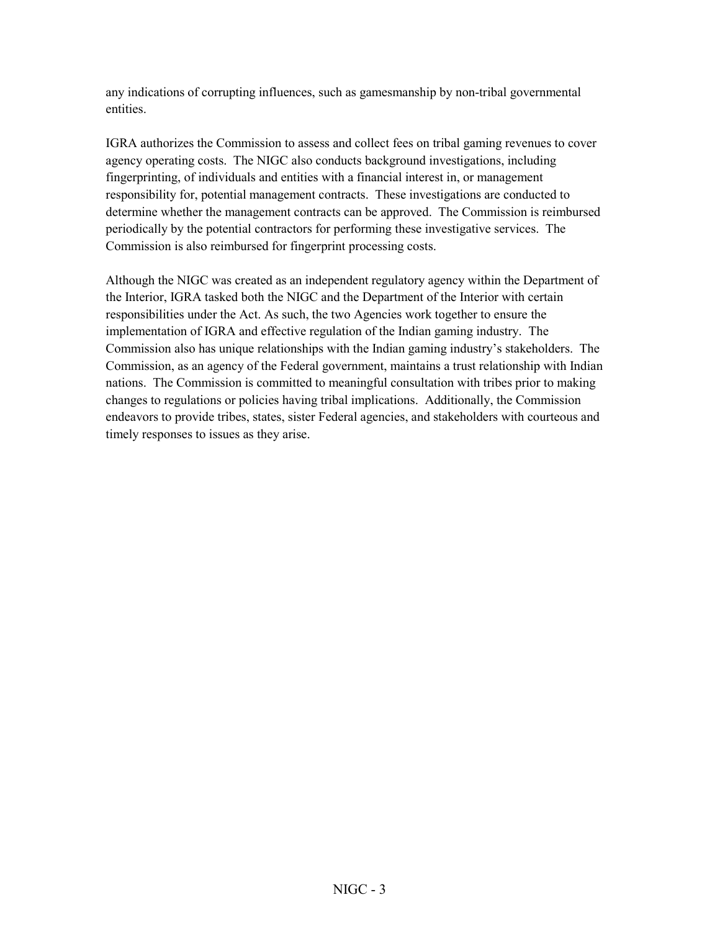any indications of corrupting influences, such as gamesmanship by non-tribal governmental entities.

IGRA authorizes the Commission to assess and collect fees on tribal gaming revenues to cover agency operating costs. The NIGC also conducts background investigations, including fingerprinting, of individuals and entities with a financial interest in, or management responsibility for, potential management contracts. These investigations are conducted to determine whether the management contracts can be approved. The Commission is reimbursed periodically by the potential contractors for performing these investigative services. The Commission is also reimbursed for fingerprint processing costs.

Although the NIGC was created as an independent regulatory agency within the Department of the Interior, IGRA tasked both the NIGC and the Department of the Interior with certain responsibilities under the Act. As such, the two Agencies work together to ensure the implementation of IGRA and effective regulation of the Indian gaming industry. The Commission also has unique relationships with the Indian gaming industry's stakeholders. The Commission, as an agency of the Federal government, maintains a trust relationship with Indian nations. The Commission is committed to meaningful consultation with tribes prior to making changes to regulations or policies having tribal implications. Additionally, the Commission endeavors to provide tribes, states, sister Federal agencies, and stakeholders with courteous and timely responses to issues as they arise.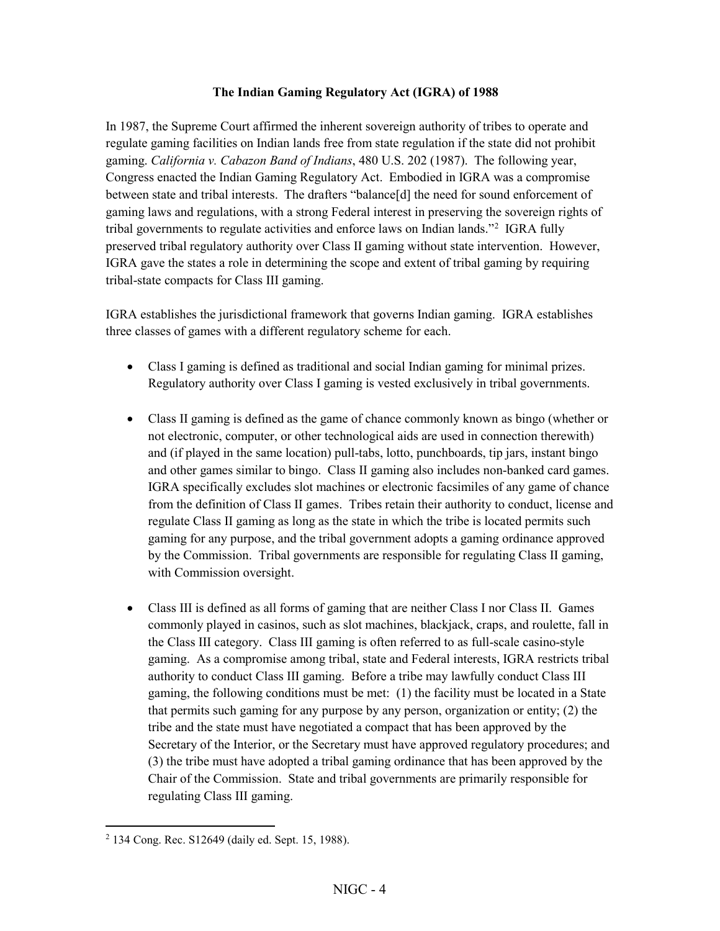#### **The Indian Gaming Regulatory Act (IGRA) of 1988**

<span id="page-6-0"></span>In 1987, the Supreme Court affirmed the inherent sovereign authority of tribes to operate and regulate gaming facilities on Indian lands free from state regulation if the state did not prohibit gaming. *California v. Cabazon Band of Indians*, 480 U.S. 202 (1987). The following year, Congress enacted the Indian Gaming Regulatory Act. Embodied in IGRA was a compromise between state and tribal interests. The drafters "balance[d] the need for sound enforcement of gaming laws and regulations, with a strong Federal interest in preserving the sovereign rights of tribal governments to regulate activities and enforce laws on Indian lands."<sup>[2](#page-6-1)</sup> IGRA fully preserved tribal regulatory authority over Class II gaming without state intervention. However, IGRA gave the states a role in determining the scope and extent of tribal gaming by requiring tribal-state compacts for Class III gaming.

IGRA establishes the jurisdictional framework that governs Indian gaming. IGRA establishes three classes of games with a different regulatory scheme for each.

- Class I gaming is defined as traditional and social Indian gaming for minimal prizes. Regulatory authority over Class I gaming is vested exclusively in tribal governments.
- Class II gaming is defined as the game of chance commonly known as bingo (whether or not electronic, computer, or other technological aids are used in connection therewith) and (if played in the same location) pull-tabs, lotto, punchboards, tip jars, instant bingo and other games similar to bingo. Class II gaming also includes non-banked card games. IGRA specifically excludes slot machines or electronic facsimiles of any game of chance from the definition of Class II games. Tribes retain their authority to conduct, license and regulate Class II gaming as long as the state in which the tribe is located permits such gaming for any purpose, and the tribal government adopts a gaming ordinance approved by the Commission. Tribal governments are responsible for regulating Class II gaming, with Commission oversight.
- Class III is defined as all forms of gaming that are neither Class I nor Class II. Games commonly played in casinos, such as slot machines, blackjack, craps, and roulette, fall in the Class III category. Class III gaming is often referred to as full-scale casino-style gaming. As a compromise among tribal, state and Federal interests, IGRA restricts tribal authority to conduct Class III gaming. Before a tribe may lawfully conduct Class III gaming, the following conditions must be met: (1) the facility must be located in a State that permits such gaming for any purpose by any person, organization or entity; (2) the tribe and the state must have negotiated a compact that has been approved by the Secretary of the Interior, or the Secretary must have approved regulatory procedures; and (3) the tribe must have adopted a tribal gaming ordinance that has been approved by the Chair of the Commission. State and tribal governments are primarily responsible for regulating Class III gaming.

<span id="page-6-1"></span> $\overline{a}$ <sup>2</sup> 134 Cong. Rec. S12649 (daily ed. Sept. 15, 1988).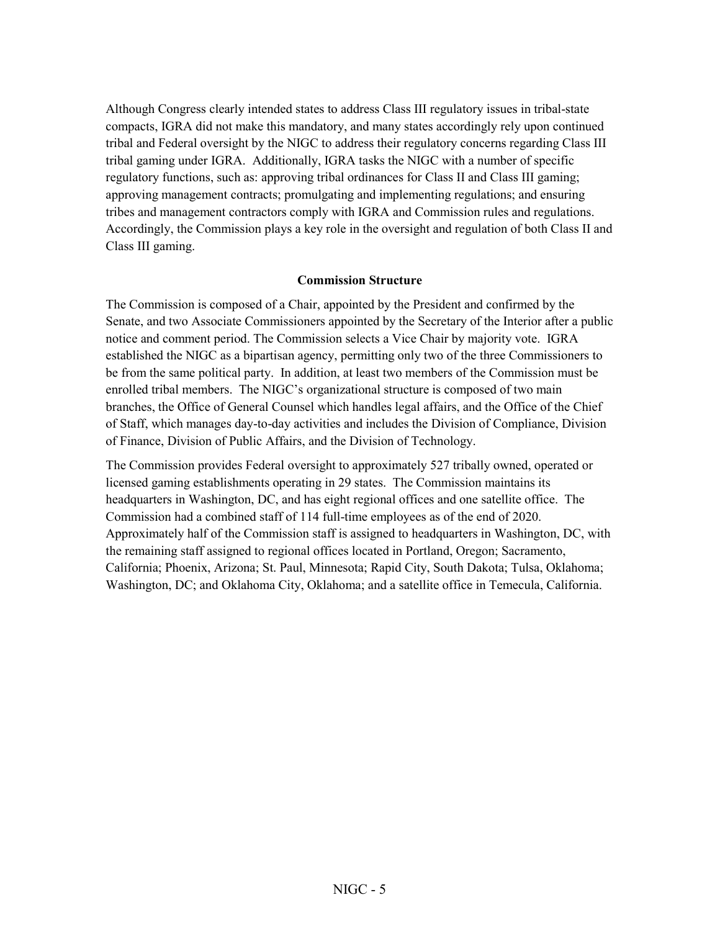<span id="page-7-0"></span>Although Congress clearly intended states to address Class III regulatory issues in tribal-state compacts, IGRA did not make this mandatory, and many states accordingly rely upon continued tribal and Federal oversight by the NIGC to address their regulatory concerns regarding Class III tribal gaming under IGRA. Additionally, IGRA tasks the NIGC with a number of specific regulatory functions, such as: approving tribal ordinances for Class II and Class III gaming; approving management contracts; promulgating and implementing regulations; and ensuring tribes and management contractors comply with IGRA and Commission rules and regulations. Accordingly, the Commission plays a key role in the oversight and regulation of both Class II and Class III gaming.

#### **Commission Structure**

The Commission is composed of a Chair, appointed by the President and confirmed by the Senate, and two Associate Commissioners appointed by the Secretary of the Interior after a public notice and comment period. The Commission selects a Vice Chair by majority vote. IGRA established the NIGC as a bipartisan agency, permitting only two of the three Commissioners to be from the same political party. In addition, at least two members of the Commission must be enrolled tribal members. The NIGC's organizational structure is composed of two main branches, the Office of General Counsel which handles legal affairs, and the Office of the Chief of Staff, which manages day-to-day activities and includes the Division of Compliance, Division of Finance, Division of Public Affairs, and the Division of Technology.

The Commission provides Federal oversight to approximately 527 tribally owned, operated or licensed gaming establishments operating in 29 states. The Commission maintains its headquarters in Washington, DC, and has eight regional offices and one satellite office. The Commission had a combined staff of 114 full-time employees as of the end of 2020. Approximately half of the Commission staff is assigned to headquarters in Washington, DC, with the remaining staff assigned to regional offices located in Portland, Oregon; Sacramento, California; Phoenix, Arizona; St. Paul, Minnesota; Rapid City, South Dakota; Tulsa, Oklahoma; Washington, DC; and Oklahoma City, Oklahoma; and a satellite office in Temecula, California.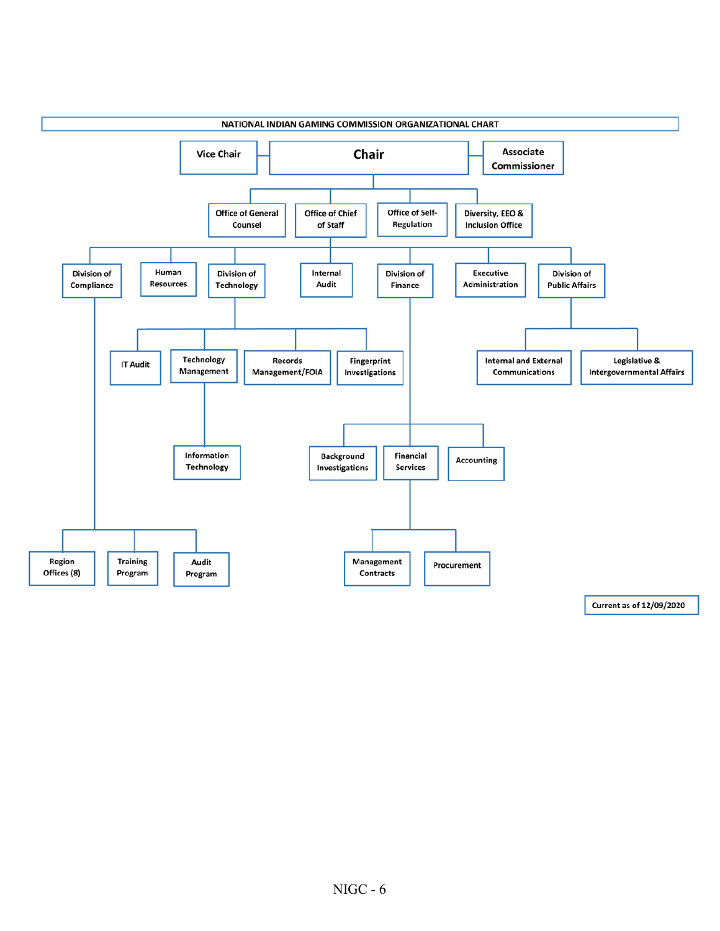<span id="page-8-0"></span>

Current as of 12/09/2020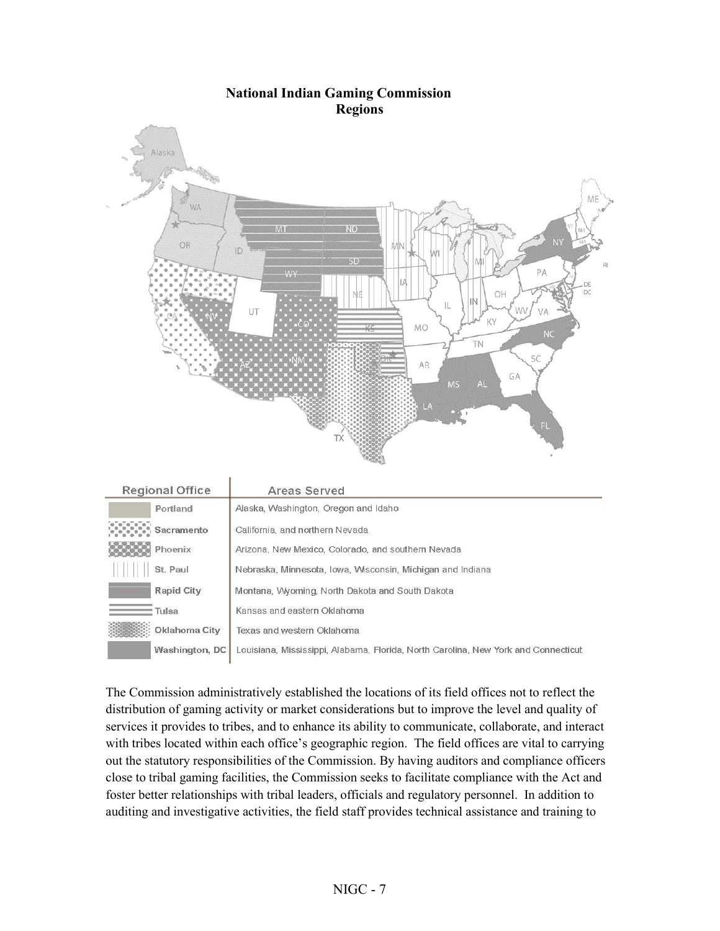#### **National Indian Gaming Commission Regions**



| <b>Regional Office</b> | Areas Served                                                                       |
|------------------------|------------------------------------------------------------------------------------|
| Portland               | Alaska, Washington, Oregon and Idaho                                               |
| Sacramento             | California, and northern Nevada                                                    |
| Phoenix                | Arizona, New Mexico, Colorado, and southern Nevada                                 |
| St. Paul               | Nebraska, Minnesota, Iowa, Wisconsin, Michigan and Indiana                         |
| <b>Rapid City</b>      | Montana, Wyoming, North Dakota and South Dakota                                    |
| Tulsa                  | Kansas and eastern Oklahoma                                                        |
| Oklahoma City          | Texas and western Oklahoma                                                         |
| Washington, DC         | Louisiana, Mississippi, Alabama, Florida, North Carolina, New York and Connecticut |

The Commission administratively established the locations of its field offices not to reflect the distribution of gaming activity or market considerations but to improve the level and quality of services it provides to tribes, and to enhance its ability to communicate, collaborate, and interact with tribes located within each office's geographic region. The field offices are vital to carrying out the statutory responsibilities of the Commission. By having auditors and compliance officers close to tribal gaming facilities, the Commission seeks to facilitate compliance with the Act and foster better relationships with tribal leaders, officials and regulatory personnel. In addition to auditing and investigative activities, the field staff provides technical assistance and training to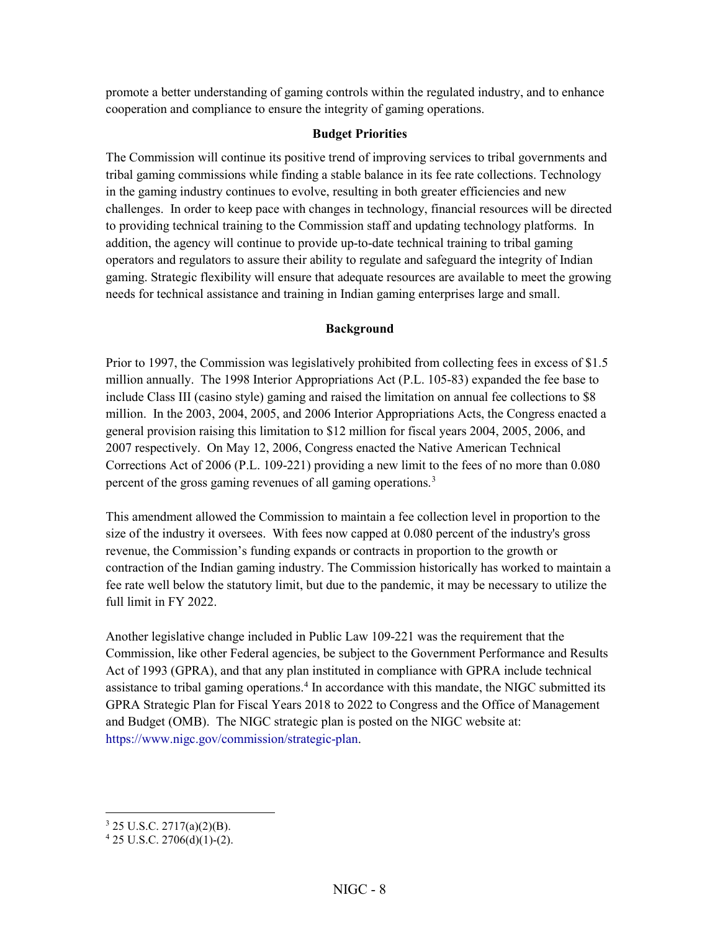<span id="page-10-0"></span>promote a better understanding of gaming controls within the regulated industry, and to enhance cooperation and compliance to ensure the integrity of gaming operations.

#### **Budget Priorities**

The Commission will continue its positive trend of improving services to tribal governments and tribal gaming commissions while finding a stable balance in its fee rate collections. Technology in the gaming industry continues to evolve, resulting in both greater efficiencies and new challenges. In order to keep pace with changes in technology, financial resources will be directed to providing technical training to the Commission staff and updating technology platforms. In addition, the agency will continue to provide up-to-date technical training to tribal gaming operators and regulators to assure their ability to regulate and safeguard the integrity of Indian gaming. Strategic flexibility will ensure that adequate resources are available to meet the growing needs for technical assistance and training in Indian gaming enterprises large and small.

#### **Background**

Prior to 1997, the Commission was legislatively prohibited from collecting fees in excess of \$1.5 million annually. The 1998 Interior Appropriations Act (P.L. 105-83) expanded the fee base to include Class III (casino style) gaming and raised the limitation on annual fee collections to \$8 million. In the 2003, 2004, 2005, and 2006 Interior Appropriations Acts, the Congress enacted a general provision raising this limitation to \$12 million for fiscal years 2004, 2005, 2006, and 2007 respectively. On May 12, 2006, Congress enacted the Native American Technical Corrections Act of 2006 (P.L. 109-221) providing a new limit to the fees of no more than 0.080 percent of the gross gaming revenues of all gaming operations.<sup>[3](#page-10-1)</sup>

This amendment allowed the Commission to maintain a fee collection level in proportion to the size of the industry it oversees. With fees now capped at 0.080 percent of the industry's gross revenue, the Commission's funding expands or contracts in proportion to the growth or contraction of the Indian gaming industry. The Commission historically has worked to maintain a fee rate well below the statutory limit, but due to the pandemic, it may be necessary to utilize the full limit in FY 2022.

Another legislative change included in Public Law 109-221 was the requirement that the Commission, like other Federal agencies, be subject to the Government Performance and Results Act of 1993 (GPRA), and that any plan instituted in compliance with GPRA include technical assistance to tribal gaming operations.<sup>[4](#page-10-2)</sup> In accordance with this mandate, the NIGC submitted its GPRA Strategic Plan for Fiscal Years 2018 to 2022 to Congress and the Office of Management and Budget (OMB). The NIGC strategic plan is posted on the NIGC website at: [https://www.nigc.gov/commission/strategic-plan.](https://www.nigc.gov/commission/strategic-plan)

 $\overline{a}$  $3$  25 U.S.C. 2717(a)(2)(B).

<span id="page-10-2"></span><span id="page-10-1"></span> $4$  25 U.S.C. 2706(d)(1)-(2).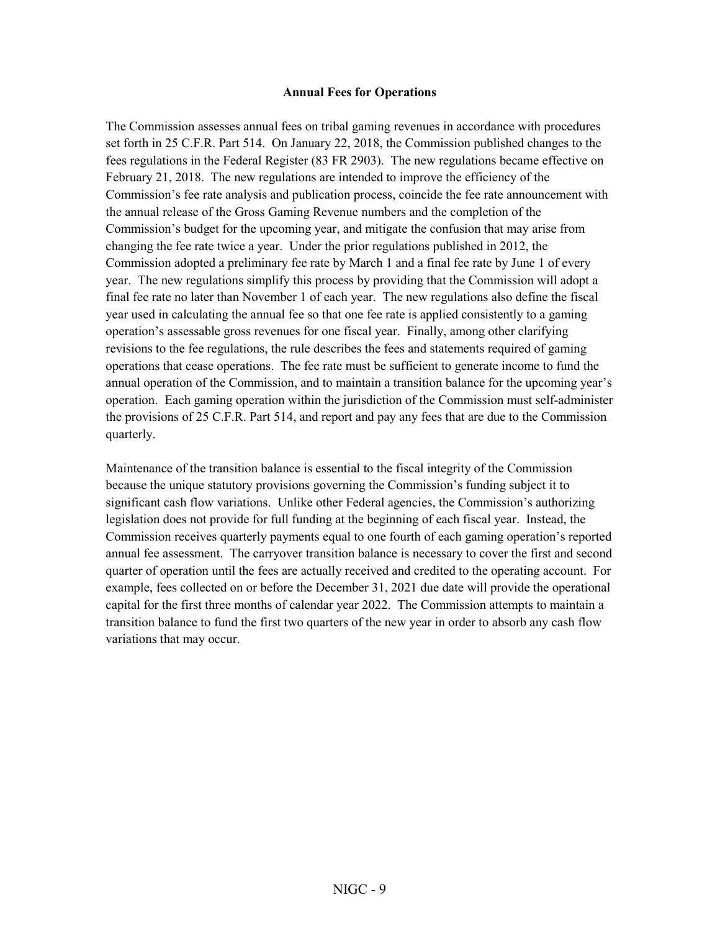#### **Annual Fees for Operations**

<span id="page-11-0"></span>The Commission assesses annual fees on tribal gaming revenues in accordance with procedures set forth in 25 C.F.R. Part 514. On January 22, 2018, the Commission published changes to the fees regulations in the Federal Register (83 FR 2903). The new regulations became effective on February 21, 2018. The new regulations are intended to improve the efficiency of the Commission's fee rate analysis and publication process, coincide the fee rate announcement with the annual release of the Gross Gaming Revenue numbers and the completion of the Commission's budget for the upcoming year, and mitigate the confusion that may arise from changing the fee rate twice a year. Under the prior regulations published in 2012, the Commission adopted a preliminary fee rate by March 1 and a final fee rate by June 1 of every year. The new regulations simplify this process by providing that the Commission will adopt a final fee rate no later than November 1 of each year. The new regulations also define the fiscal year used in calculating the annual fee so that one fee rate is applied consistently to a gaming operation's assessable gross revenues for one fiscal year. Finally, among other clarifying revisions to the fee regulations, the rule describes the fees and statements required of gaming operations that cease operations. The fee rate must be sufficient to generate income to fund the annual operation of the Commission, and to maintain a transition balance for the upcoming year's operation. Each gaming operation within the jurisdiction of the Commission must self-administer the provisions of 25 C.F.R. Part 514, and report and pay any fees that are due to the Commission quarterly.

Maintenance of the transition balance is essential to the fiscal integrity of the Commission because the unique statutory provisions governing the Commission's funding subject it to significant cash flow variations. Unlike other Federal agencies, the Commission's authorizing legislation does not provide for full funding at the beginning of each fiscal year. Instead, the Commission receives quarterly payments equal to one fourth of each gaming operation's reported annual fee assessment. The carryover transition balance is necessary to cover the first and second quarter of operation until the fees are actually received and credited to the operating account. For example, fees collected on or before the December 31, 2021 due date will provide the operational capital for the first three months of calendar year 2022. The Commission attempts to maintain a transition balance to fund the first two quarters of the new year in order to absorb any cash flow variations that may occur.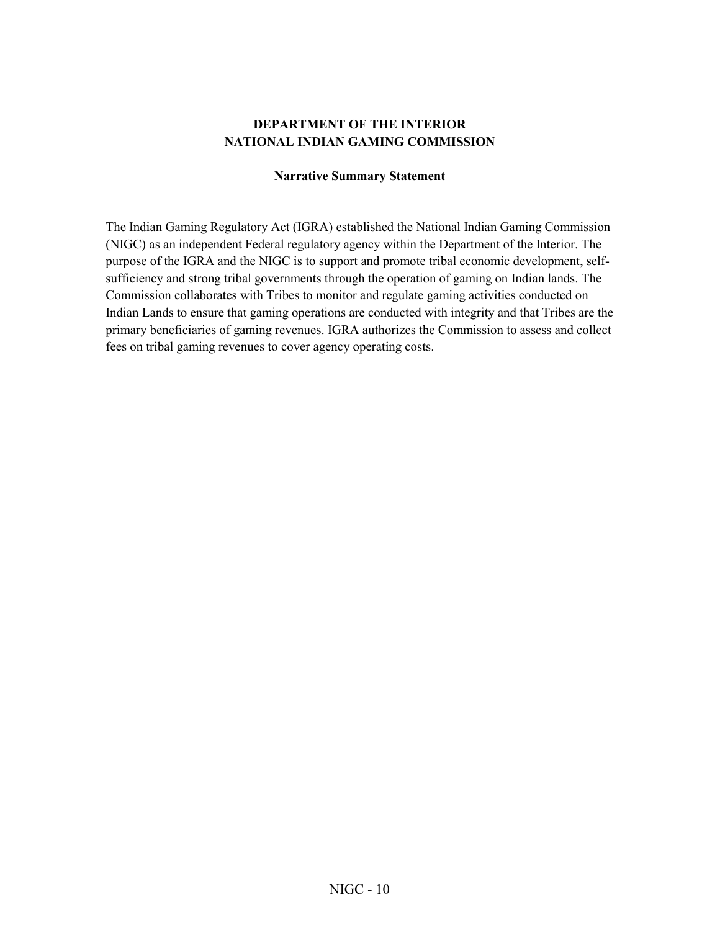#### **DEPARTMENT OF THE INTERIOR NATIONAL INDIAN GAMING COMMISSION**

#### **Narrative Summary Statement**

<span id="page-12-0"></span>The Indian Gaming Regulatory Act (IGRA) established the National Indian Gaming Commission (NIGC) as an independent Federal regulatory agency within the Department of the Interior. The purpose of the IGRA and the NIGC is to support and promote tribal economic development, selfsufficiency and strong tribal governments through the operation of gaming on Indian lands. The Commission collaborates with Tribes to monitor and regulate gaming activities conducted on Indian Lands to ensure that gaming operations are conducted with integrity and that Tribes are the primary beneficiaries of gaming revenues. IGRA authorizes the Commission to assess and collect fees on tribal gaming revenues to cover agency operating costs.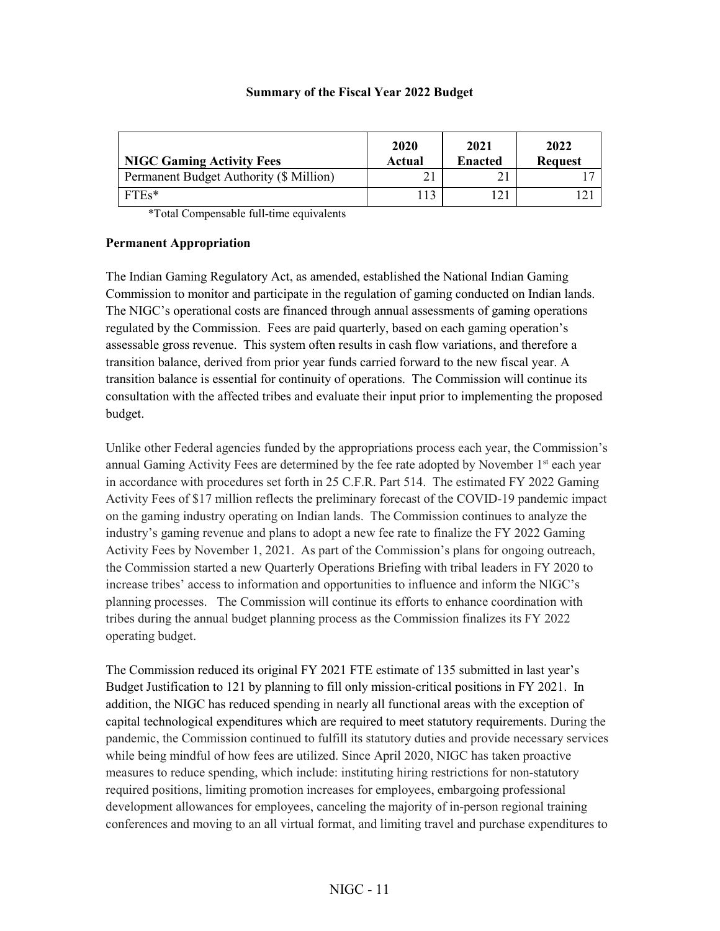#### **Summary of the Fiscal Year 2022 Budget**

<span id="page-13-0"></span>

| <b>NIGC Gaming Activity Fees</b>        | 2020<br>Actual | 2021<br><b>Enacted</b> | 2022<br><b>Request</b> |
|-----------------------------------------|----------------|------------------------|------------------------|
| Permanent Budget Authority (\$ Million) |                |                        |                        |
| $FTEs*$                                 | $-13$          |                        |                        |

\*Total Compensable full-time equivalents

#### **Permanent Appropriation**

The Indian Gaming Regulatory Act, as amended, established the National Indian Gaming Commission to monitor and participate in the regulation of gaming conducted on Indian lands. The NIGC's operational costs are financed through annual assessments of gaming operations regulated by the Commission. Fees are paid quarterly, based on each gaming operation's assessable gross revenue. This system often results in cash flow variations, and therefore a transition balance, derived from prior year funds carried forward to the new fiscal year. A transition balance is essential for continuity of operations. The Commission will continue its consultation with the affected tribes and evaluate their input prior to implementing the proposed budget.

Unlike other Federal agencies funded by the appropriations process each year, the Commission's annual Gaming Activity Fees are determined by the fee rate adopted by November 1<sup>st</sup> each year in accordance with procedures set forth in 25 C.F.R. Part 514. The estimated FY 2022 Gaming Activity Fees of \$17 million reflects the preliminary forecast of the COVID-19 pandemic impact on the gaming industry operating on Indian lands. The Commission continues to analyze the industry's gaming revenue and plans to adopt a new fee rate to finalize the FY 2022 Gaming Activity Fees by November 1, 2021. As part of the Commission's plans for ongoing outreach, the Commission started a new Quarterly Operations Briefing with tribal leaders in FY 2020 to increase tribes' access to information and opportunities to influence and inform the NIGC's planning processes. The Commission will continue its efforts to enhance coordination with tribes during the annual budget planning process as the Commission finalizes its FY 2022 operating budget.

The Commission reduced its original FY 2021 FTE estimate of 135 submitted in last year's Budget Justification to 121 by planning to fill only mission-critical positions in FY 2021. In addition, the NIGC has reduced spending in nearly all functional areas with the exception of capital technological expenditures which are required to meet statutory requirements. During the pandemic, the Commission continued to fulfill its statutory duties and provide necessary services while being mindful of how fees are utilized. Since April 2020, NIGC has taken proactive measures to reduce spending, which include: instituting hiring restrictions for non-statutory required positions, limiting promotion increases for employees, embargoing professional development allowances for employees, canceling the majority of in-person regional training conferences and moving to an all virtual format, and limiting travel and purchase expenditures to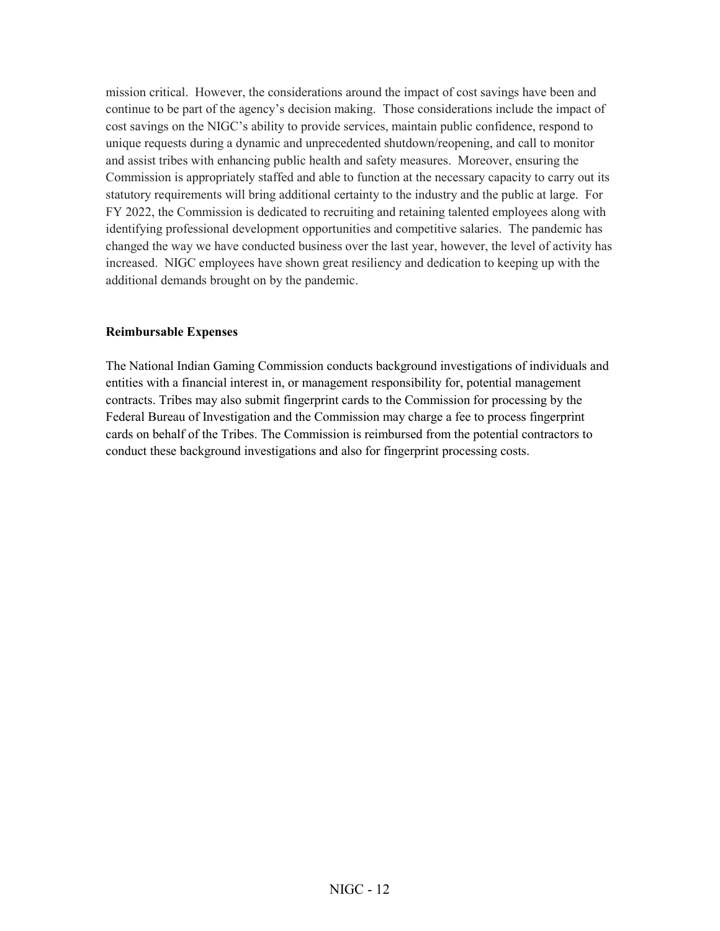<span id="page-14-0"></span>mission critical. However, the considerations around the impact of cost savings have been and continue to be part of the agency's decision making. Those considerations include the impact of cost savings on the NIGC's ability to provide services, maintain public confidence, respond to unique requests during a dynamic and unprecedented shutdown/reopening, and call to monitor and assist tribes with enhancing public health and safety measures. Moreover, ensuring the Commission is appropriately staffed and able to function at the necessary capacity to carry out its statutory requirements will bring additional certainty to the industry and the public at large. For FY 2022, the Commission is dedicated to recruiting and retaining talented employees along with identifying professional development opportunities and competitive salaries. The pandemic has changed the way we have conducted business over the last year, however, the level of activity has increased. NIGC employees have shown great resiliency and dedication to keeping up with the additional demands brought on by the pandemic.

#### **Reimbursable Expenses**

The National Indian Gaming Commission conducts background investigations of individuals and entities with a financial interest in, or management responsibility for, potential management contracts. Tribes may also submit fingerprint cards to the Commission for processing by the Federal Bureau of Investigation and the Commission may charge a fee to process fingerprint cards on behalf of the Tribes. The Commission is reimbursed from the potential contractors to conduct these background investigations and also for fingerprint processing costs.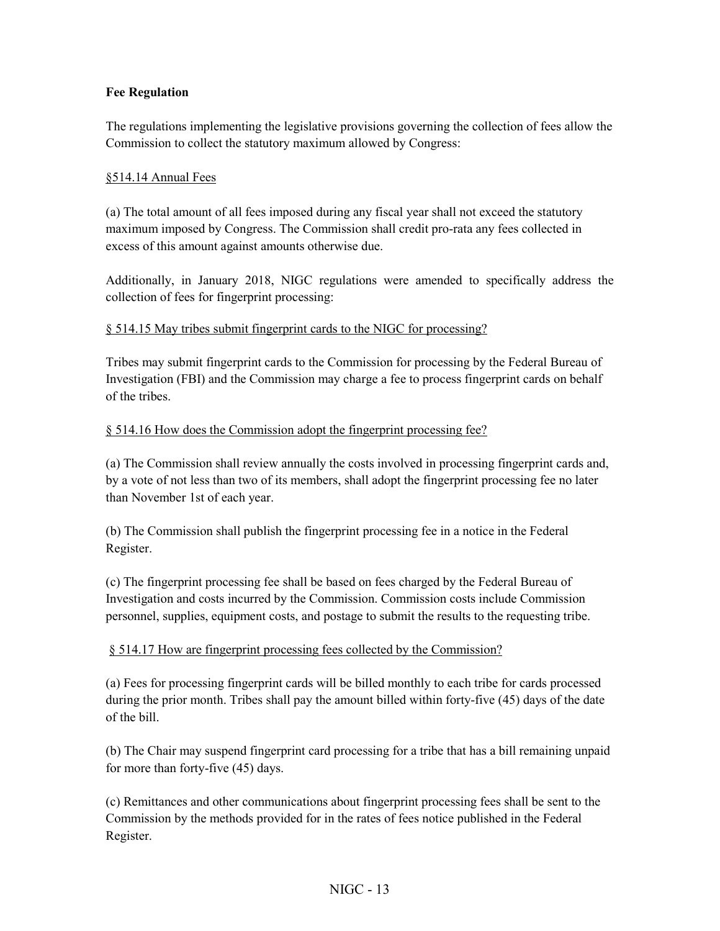#### <span id="page-15-0"></span>**Fee Regulation**

The regulations implementing the legislative provisions governing the collection of fees allow the Commission to collect the statutory maximum allowed by Congress:

#### §514.14 Annual Fees

(a) The total amount of all fees imposed during any fiscal year shall not exceed the statutory maximum imposed by Congress. The Commission shall credit pro-rata any fees collected in excess of this amount against amounts otherwise due.

Additionally, in January 2018, NIGC regulations were amended to specifically address the collection of fees for fingerprint processing:

#### § 514.15 May tribes submit fingerprint cards to the NIGC for processing?

Tribes may submit fingerprint cards to the Commission for processing by the Federal Bureau of Investigation (FBI) and the Commission may charge a fee to process fingerprint cards on behalf of the tribes.

#### § 514.16 How does the Commission adopt the fingerprint processing fee?

(a) The Commission shall review annually the costs involved in processing fingerprint cards and, by a vote of not less than two of its members, shall adopt the fingerprint processing fee no later than November 1st of each year.

(b) The Commission shall publish the fingerprint processing fee in a notice in the Federal Register.

(c) The fingerprint processing fee shall be based on fees charged by the Federal Bureau of Investigation and costs incurred by the Commission. Commission costs include Commission personnel, supplies, equipment costs, and postage to submit the results to the requesting tribe.

#### § 514.17 How are fingerprint processing fees collected by the Commission?

(a) Fees for processing fingerprint cards will be billed monthly to each tribe for cards processed during the prior month. Tribes shall pay the amount billed within forty-five (45) days of the date of the bill.

(b) The Chair may suspend fingerprint card processing for a tribe that has a bill remaining unpaid for more than forty-five (45) days.

(c) Remittances and other communications about fingerprint processing fees shall be sent to the Commission by the methods provided for in the rates of fees notice published in the Federal Register.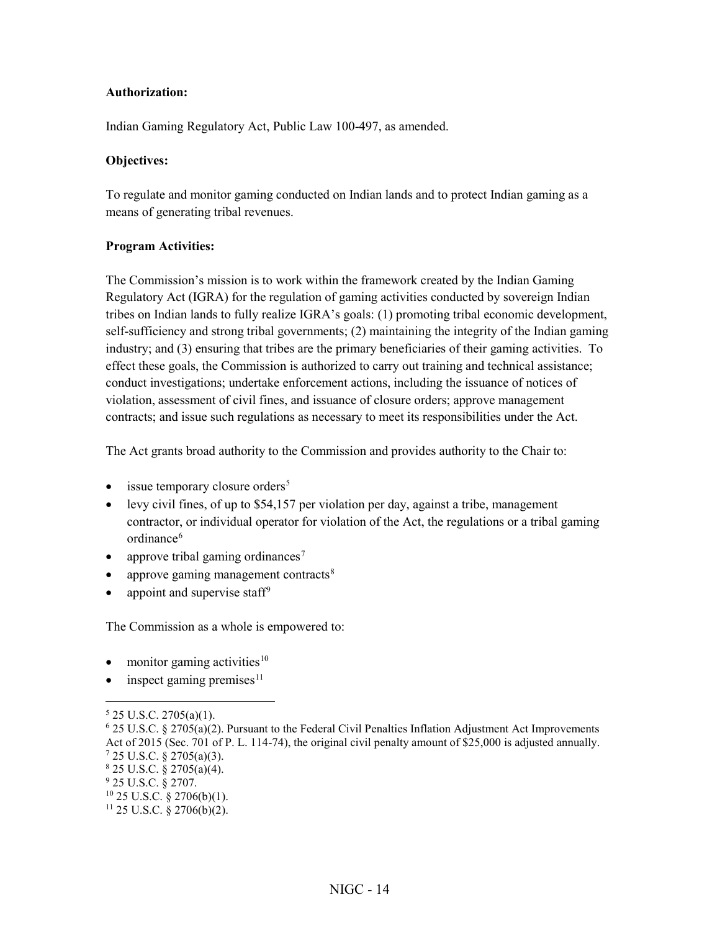#### <span id="page-16-0"></span>**Authorization:**

Indian Gaming Regulatory Act, Public Law 100-497, as amended.

#### **Objectives:**

To regulate and monitor gaming conducted on Indian lands and to protect Indian gaming as a means of generating tribal revenues.

#### **Program Activities:**

The Commission's mission is to work within the framework created by the Indian Gaming Regulatory Act (IGRA) for the regulation of gaming activities conducted by sovereign Indian tribes on Indian lands to fully realize IGRA's goals: (1) promoting tribal economic development, self-sufficiency and strong tribal governments; (2) maintaining the integrity of the Indian gaming industry; and (3) ensuring that tribes are the primary beneficiaries of their gaming activities. To effect these goals, the Commission is authorized to carry out training and technical assistance; conduct investigations; undertake enforcement actions, including the issuance of notices of violation, assessment of civil fines, and issuance of closure orders; approve management contracts; and issue such regulations as necessary to meet its responsibilities under the Act.

The Act grants broad authority to the Commission and provides authority to the Chair to:

- $\bullet$  issue temporary closure orders<sup>[5](#page-16-1)</sup>
- levy civil fines, of up to \$54,157 per violation per day, against a tribe, management contractor, or individual operator for violation of the Act, the regulations or a tribal gaming ordinance<sup>[6](#page-16-2)</sup>
- approve tribal gaming ordinances<sup>[7](#page-16-3)</sup>
- approve gaming management contracts<sup>[8](#page-16-4)</sup>
- appoint and supervise staff<sup>[9](#page-16-5)</sup>

The Commission as a whole is empowered to:

- monitor gaming activities $10$
- inspect gaming premises $11$

<span id="page-16-1"></span><sup>5</sup> 25 U.S.C. 2705(a)(1).

<span id="page-16-2"></span> $6$  25 U.S.C. § 2705(a)(2). Pursuant to the Federal Civil Penalties Inflation Adjustment Act Improvements Act of 2015 (Sec. 701 of P. L. 114-74), the original civil penalty amount of \$25,000 is adjusted annually.  $7$  25 U.S.C. § 2705(a)(3).

<span id="page-16-4"></span><span id="page-16-3"></span><sup>8</sup> 25 U.S.C. § 2705(a)(4).

<span id="page-16-5"></span><sup>9</sup> 25 U.S.C. § 2707.

 $10$  25 U.S.C. § 2706(b)(1).

<span id="page-16-7"></span><span id="page-16-6"></span> $11$  25 U.S.C. § 2706(b)(2).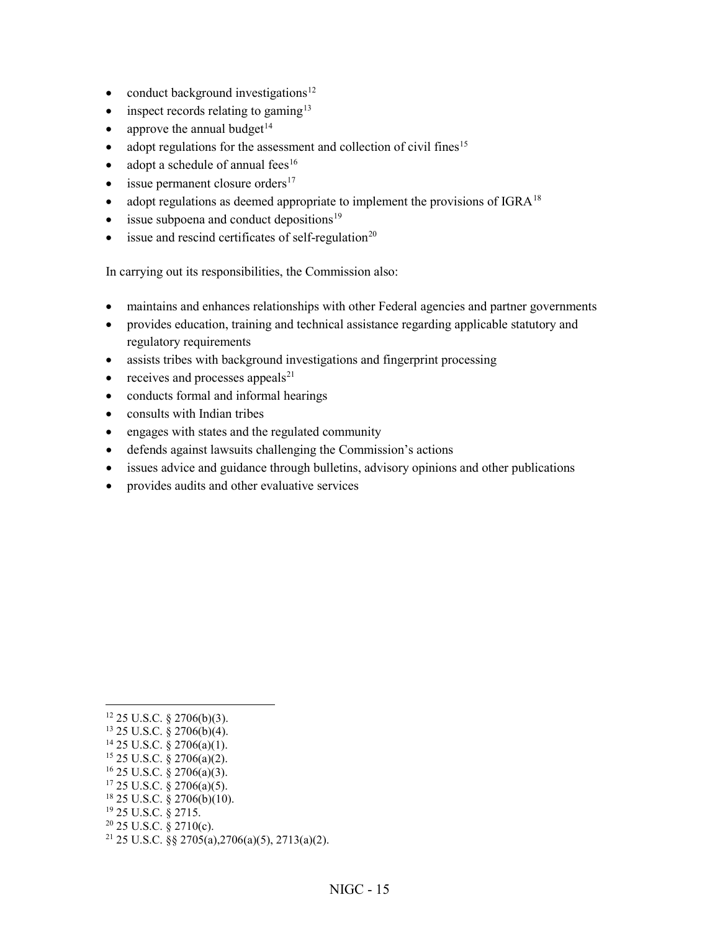- conduct background investigations $12$
- inspect records relating to gaming<sup>[13](#page-17-1)</sup>
- approve the annual budget $14$
- $\bullet$  adopt regulations for the assessment and collection of civil fines<sup>[15](#page-17-3)</sup>
- adopt a schedule of annual fees $16$
- $\bullet$  issue permanent closure orders<sup>17</sup>
- adopt regulations as deemed appropriate to implement the provisions of IGRA<sup>[18](#page-17-6)</sup>
- $\bullet$  issue subpoena and conduct depositions<sup>[19](#page-17-7)</sup>
- issue and rescind certificates of self-regulation<sup>[20](#page-17-8)</sup>

In carrying out its responsibilities, the Commission also:

- maintains and enhances relationships with other Federal agencies and partner governments
- provides education, training and technical assistance regarding applicable statutory and regulatory requirements
- assists tribes with background investigations and fingerprint processing
- $\bullet$  receives and processes appeals<sup>[21](#page-17-9)</sup>
- conducts formal and informal hearings
- consults with Indian tribes
- engages with states and the regulated community
- defends against lawsuits challenging the Commission's actions
- issues advice and guidance through bulletins, advisory opinions and other publications
- provides audits and other evaluative services

 $\overline{a}$ 

- <span id="page-17-2"></span><sup>14</sup> 25 U.S.C. § 2706(a)(1).
- <span id="page-17-3"></span><sup>15</sup> 25 U.S.C. § 2706(a)(2).
- <span id="page-17-4"></span><sup>16</sup> 25 U.S.C. § 2706(a)(3).
- <span id="page-17-5"></span><sup>17</sup> 25 U.S.C. § 2706(a)(5).
- <span id="page-17-6"></span><sup>18</sup> 25 U.S.C. § 2706(b)(10).
- <span id="page-17-7"></span><sup>19</sup> 25 U.S.C. § 2715.
- <span id="page-17-8"></span> $20$  25 U.S.C. § 2710(c).
- <span id="page-17-9"></span><sup>21</sup> 25 U.S.C. §§ 2705(a), 2706(a)(5), 2713(a)(2).

 $12$  25 U.S.C. § 2706(b)(3).

<span id="page-17-1"></span><span id="page-17-0"></span> $13$  25 U.S.C. § 2706(b)(4).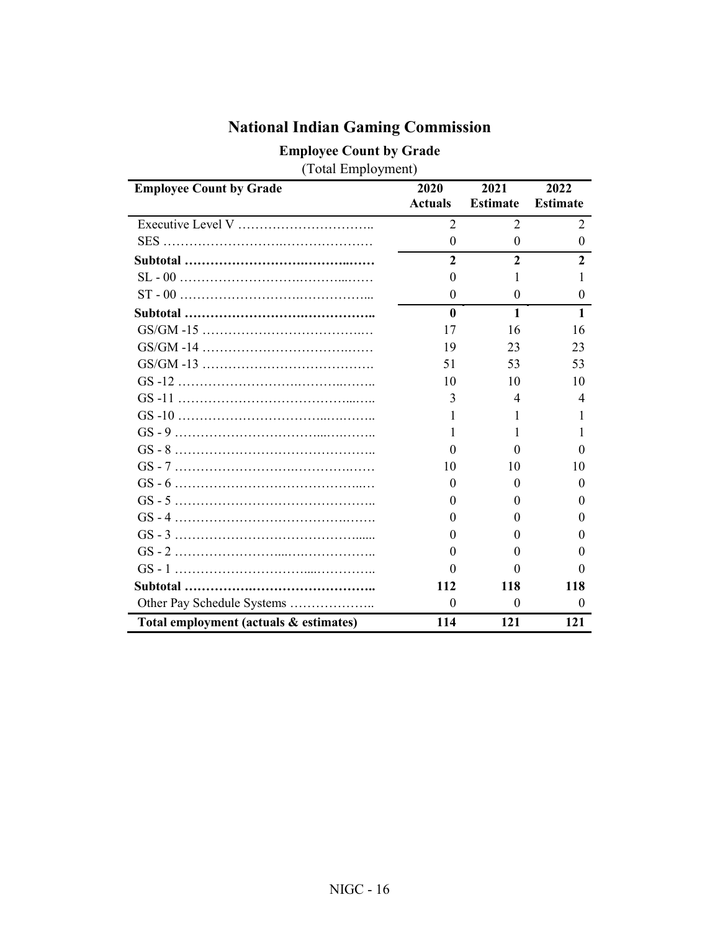<span id="page-18-0"></span>

| <b>Employee Count by Grade</b>         | 2020           | 2021              | 2022            |
|----------------------------------------|----------------|-------------------|-----------------|
|                                        | <b>Actuals</b> | <b>Estimate</b>   | <b>Estimate</b> |
|                                        | 2              | 2                 | 2               |
|                                        | $\theta$       | $\theta$          | $\theta$        |
|                                        | $\mathbf{2}$   | $\overline{2}$    | $\mathbf{2}$    |
|                                        | $\theta$       | 1                 | 1               |
|                                        | $\theta$       | $\Omega$          | $\Omega$        |
|                                        | $\mathbf{0}$   | $\mathbf{1}$      | 1               |
|                                        | 17             | 16                | 16              |
|                                        | 19             | 23                | 23              |
|                                        | 51             | 53                | 53              |
|                                        | 10             | 10                | 10              |
|                                        | 3              | 4                 | 4               |
|                                        | 1              | 1                 | 1               |
|                                        |                | 1                 |                 |
|                                        | $\theta$       | $_{0}$            | $\mathbf{0}$    |
|                                        | 10             | 10                | 10              |
|                                        | $\Omega$       | 0                 | 0               |
|                                        | $\theta$       | 0                 | $\Omega$        |
|                                        | $\theta$       | $\theta$          | $\theta$        |
|                                        | $\theta$       | 0                 | $\theta$        |
|                                        | $\theta$       | $\mathbf{\Omega}$ | $\Omega$        |
|                                        | 0              | $\mathbf{\Omega}$ | $\mathbf{0}$    |
|                                        | 112            | 118               | 118             |
| Other Pay Schedule Systems             | $\theta$       | $\theta$          | $\theta$        |
| Total employment (actuals & estimates) | 114            | 121               | 121             |

## **National Indian Gaming Commission**

**Employee Count by Grade**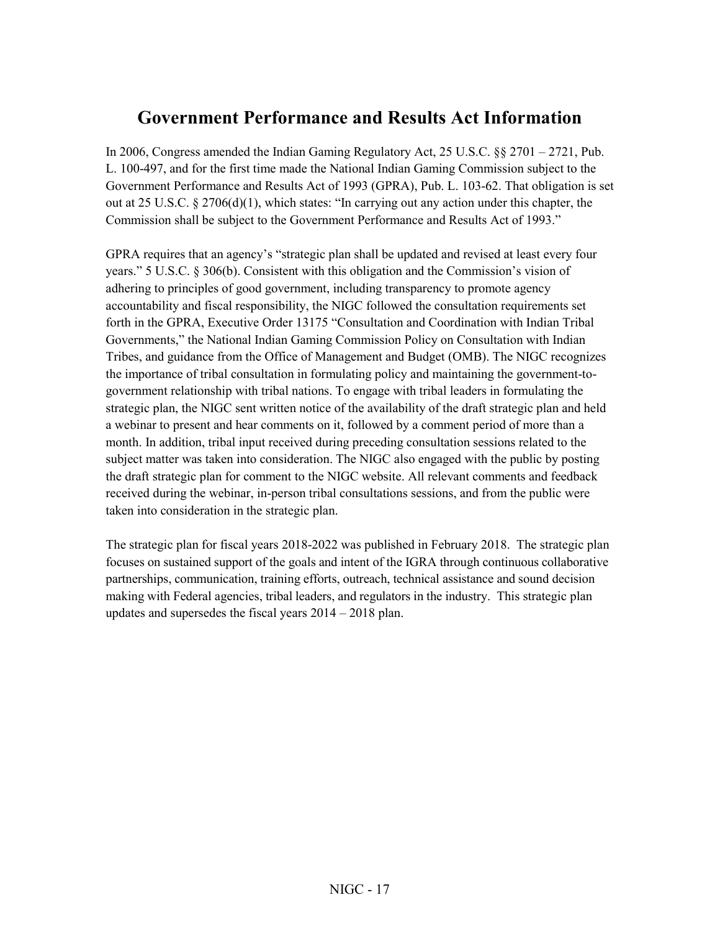### <span id="page-19-0"></span>**Government Performance and Results Act Information**

In 2006, Congress amended the Indian Gaming Regulatory Act, 25 U.S.C. §§ 2701 – 2721, Pub. L. 100-497, and for the first time made the National Indian Gaming Commission subject to the Government Performance and Results Act of 1993 (GPRA), Pub. L. 103-62. That obligation is set out at 25 U.S.C.  $\S 2706(d)(1)$ , which states: "In carrying out any action under this chapter, the Commission shall be subject to the Government Performance and Results Act of 1993."

GPRA requires that an agency's "strategic plan shall be updated and revised at least every four years." 5 U.S.C. § 306(b). Consistent with this obligation and the Commission's vision of adhering to principles of good government, including transparency to promote agency accountability and fiscal responsibility, the NIGC followed the consultation requirements set forth in the GPRA, Executive Order 13175 "Consultation and Coordination with Indian Tribal Governments," the National Indian Gaming Commission Policy on Consultation with Indian Tribes, and guidance from the Office of Management and Budget (OMB). The NIGC recognizes the importance of tribal consultation in formulating policy and maintaining the government-togovernment relationship with tribal nations. To engage with tribal leaders in formulating the strategic plan, the NIGC sent written notice of the availability of the draft strategic plan and held a webinar to present and hear comments on it, followed by a comment period of more than a month. In addition, tribal input received during preceding consultation sessions related to the subject matter was taken into consideration. The NIGC also engaged with the public by posting the draft strategic plan for comment to the NIGC website. All relevant comments and feedback received during the webinar, in-person tribal consultations sessions, and from the public were taken into consideration in the strategic plan.

The strategic plan for fiscal years 2018-2022 was published in February 2018. The strategic plan focuses on sustained support of the goals and intent of the IGRA through continuous collaborative partnerships, communication, training efforts, outreach, technical assistance and sound decision making with Federal agencies, tribal leaders, and regulators in the industry. This strategic plan updates and supersedes the fiscal years 2014 – 2018 plan.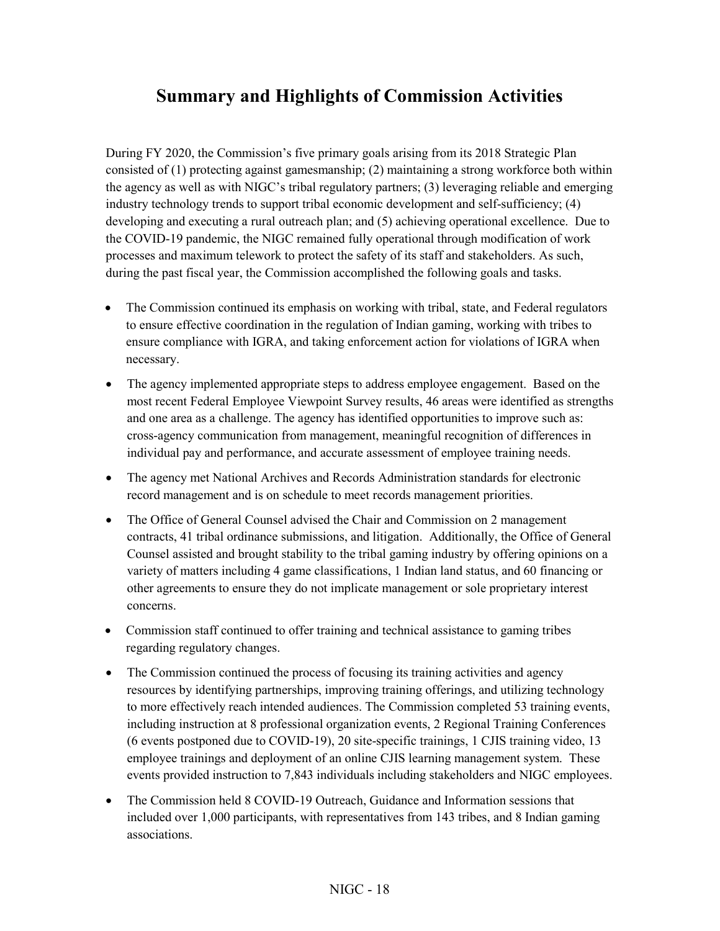## <span id="page-20-0"></span>**Summary and Highlights of Commission Activities**

During FY 2020, the Commission's five primary goals arising from its 2018 Strategic Plan consisted of (1) protecting against gamesmanship; (2) maintaining a strong workforce both within the agency as well as with NIGC's tribal regulatory partners; (3) leveraging reliable and emerging industry technology trends to support tribal economic development and self-sufficiency; (4) developing and executing a rural outreach plan; and (5) achieving operational excellence. Due to the COVID-19 pandemic, the NIGC remained fully operational through modification of work processes and maximum telework to protect the safety of its staff and stakeholders. As such, during the past fiscal year, the Commission accomplished the following goals and tasks.

- The Commission continued its emphasis on working with tribal, state, and Federal regulators to ensure effective coordination in the regulation of Indian gaming, working with tribes to ensure compliance with IGRA, and taking enforcement action for violations of IGRA when necessary.
- The agency implemented appropriate steps to address employee engagement. Based on the most recent Federal Employee Viewpoint Survey results, 46 areas were identified as strengths and one area as a challenge. The agency has identified opportunities to improve such as: cross-agency communication from management, meaningful recognition of differences in individual pay and performance, and accurate assessment of employee training needs.
- The agency met National Archives and Records Administration standards for electronic record management and is on schedule to meet records management priorities.
- The Office of General Counsel advised the Chair and Commission on 2 management contracts, 41 tribal ordinance submissions, and litigation. Additionally, the Office of General Counsel assisted and brought stability to the tribal gaming industry by offering opinions on a variety of matters including 4 game classifications, 1 Indian land status, and 60 financing or other agreements to ensure they do not implicate management or sole proprietary interest concerns.
- Commission staff continued to offer training and technical assistance to gaming tribes regarding regulatory changes.
- The Commission continued the process of focusing its training activities and agency resources by identifying partnerships, improving training offerings, and utilizing technology to more effectively reach intended audiences. The Commission completed 53 training events, including instruction at 8 professional organization events, 2 Regional Training Conferences (6 events postponed due to COVID-19), 20 site-specific trainings, 1 CJIS training video, 13 employee trainings and deployment of an online CJIS learning management system. These events provided instruction to 7,843 individuals including stakeholders and NIGC employees.
- The Commission held 8 COVID-19 Outreach, Guidance and Information sessions that included over 1,000 participants, with representatives from 143 tribes, and 8 Indian gaming associations.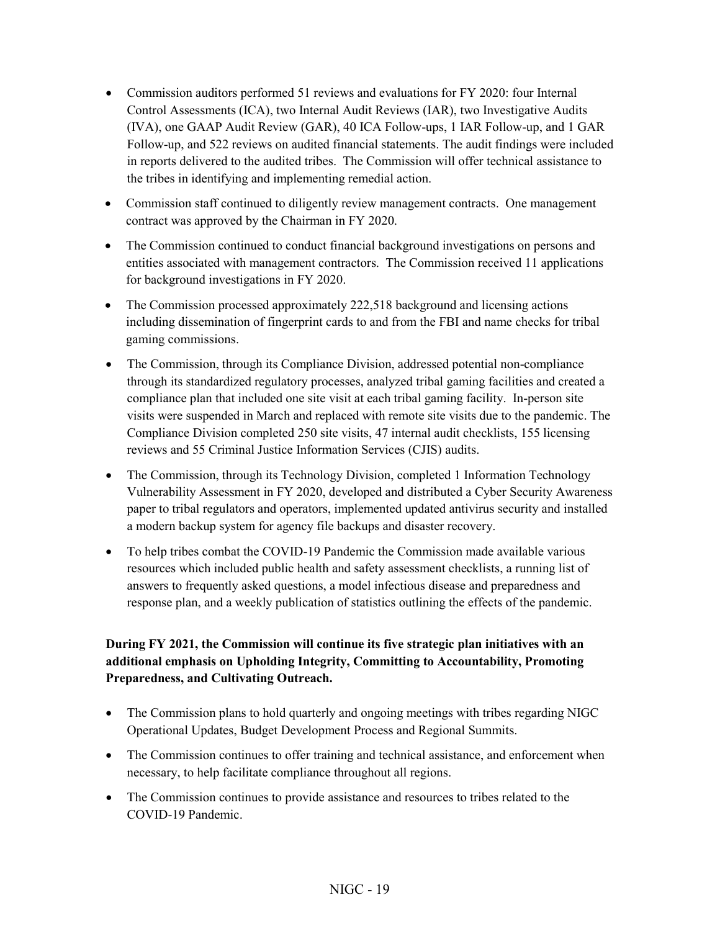- Commission auditors performed 51 reviews and evaluations for FY 2020: four Internal Control Assessments (ICA), two Internal Audit Reviews (IAR), two Investigative Audits (IVA), one GAAP Audit Review (GAR), 40 ICA Follow-ups, 1 IAR Follow-up, and 1 GAR Follow-up, and 522 reviews on audited financial statements. The audit findings were included in reports delivered to the audited tribes. The Commission will offer technical assistance to the tribes in identifying and implementing remedial action.
- Commission staff continued to diligently review management contracts. One management contract was approved by the Chairman in FY 2020.
- The Commission continued to conduct financial background investigations on persons and entities associated with management contractors. The Commission received 11 applications for background investigations in FY 2020.
- The Commission processed approximately 222,518 background and licensing actions including dissemination of fingerprint cards to and from the FBI and name checks for tribal gaming commissions.
- The Commission, through its Compliance Division, addressed potential non-compliance through its standardized regulatory processes, analyzed tribal gaming facilities and created a compliance plan that included one site visit at each tribal gaming facility. In-person site visits were suspended in March and replaced with remote site visits due to the pandemic. The Compliance Division completed 250 site visits, 47 internal audit checklists, 155 licensing reviews and 55 Criminal Justice Information Services (CJIS) audits.
- The Commission, through its Technology Division, completed 1 Information Technology Vulnerability Assessment in FY 2020, developed and distributed a Cyber Security Awareness paper to tribal regulators and operators, implemented updated antivirus security and installed a modern backup system for agency file backups and disaster recovery.
- To help tribes combat the COVID-19 Pandemic the Commission made available various resources which included public health and safety assessment checklists, a running list of answers to frequently asked questions, a model infectious disease and preparedness and response plan, and a weekly publication of statistics outlining the effects of the pandemic.

#### **During FY 2021, the Commission will continue its five strategic plan initiatives with an additional emphasis on Upholding Integrity, Committing to Accountability, Promoting Preparedness, and Cultivating Outreach.**

- The Commission plans to hold quarterly and ongoing meetings with tribes regarding NIGC Operational Updates, Budget Development Process and Regional Summits.
- The Commission continues to offer training and technical assistance, and enforcement when necessary, to help facilitate compliance throughout all regions.
- The Commission continues to provide assistance and resources to tribes related to the COVID-19 Pandemic.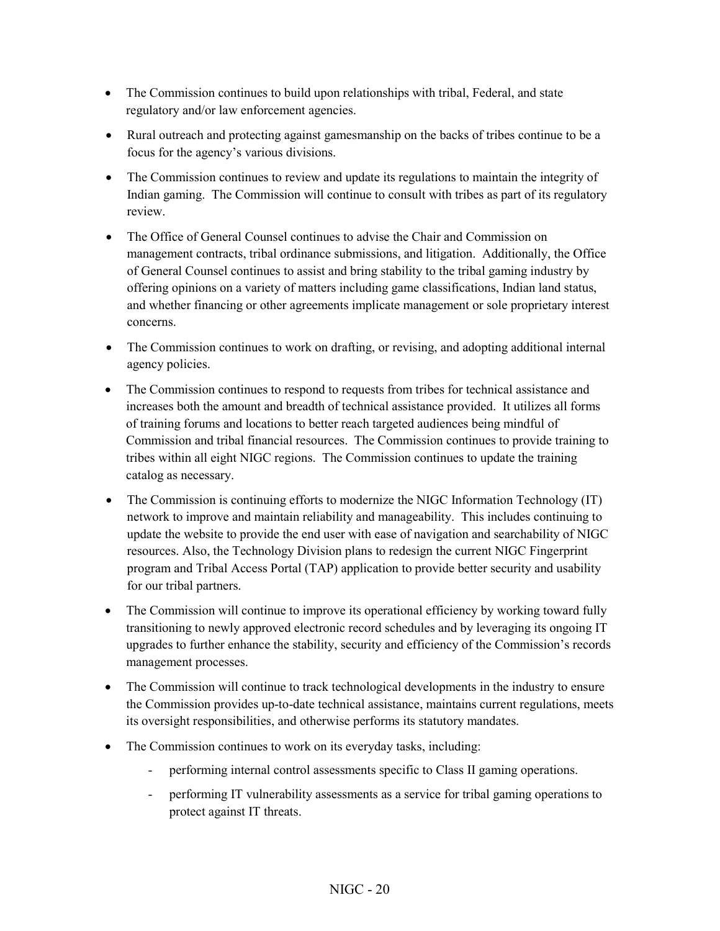- The Commission continues to build upon relationships with tribal, Federal, and state regulatory and/or law enforcement agencies.
- Rural outreach and protecting against gamesmanship on the backs of tribes continue to be a focus for the agency's various divisions.
- The Commission continues to review and update its regulations to maintain the integrity of Indian gaming. The Commission will continue to consult with tribes as part of its regulatory review.
- The Office of General Counsel continues to advise the Chair and Commission on management contracts, tribal ordinance submissions, and litigation. Additionally, the Office of General Counsel continues to assist and bring stability to the tribal gaming industry by offering opinions on a variety of matters including game classifications, Indian land status, and whether financing or other agreements implicate management or sole proprietary interest concerns.
- The Commission continues to work on drafting, or revising, and adopting additional internal agency policies.
- The Commission continues to respond to requests from tribes for technical assistance and increases both the amount and breadth of technical assistance provided. It utilizes all forms of training forums and locations to better reach targeted audiences being mindful of Commission and tribal financial resources. The Commission continues to provide training to tribes within all eight NIGC regions. The Commission continues to update the training catalog as necessary.
- The Commission is continuing efforts to modernize the NIGC Information Technology (IT) network to improve and maintain reliability and manageability. This includes continuing to update the website to provide the end user with ease of navigation and searchability of NIGC resources. Also, the Technology Division plans to redesign the current NIGC Fingerprint program and Tribal Access Portal (TAP) application to provide better security and usability for our tribal partners.
- The Commission will continue to improve its operational efficiency by working toward fully transitioning to newly approved electronic record schedules and by leveraging its ongoing IT upgrades to further enhance the stability, security and efficiency of the Commission's records management processes.
- The Commission will continue to track technological developments in the industry to ensure the Commission provides up-to-date technical assistance, maintains current regulations, meets its oversight responsibilities, and otherwise performs its statutory mandates.
- The Commission continues to work on its everyday tasks, including:
	- performing internal control assessments specific to Class II gaming operations.
	- performing IT vulnerability assessments as a service for tribal gaming operations to protect against IT threats.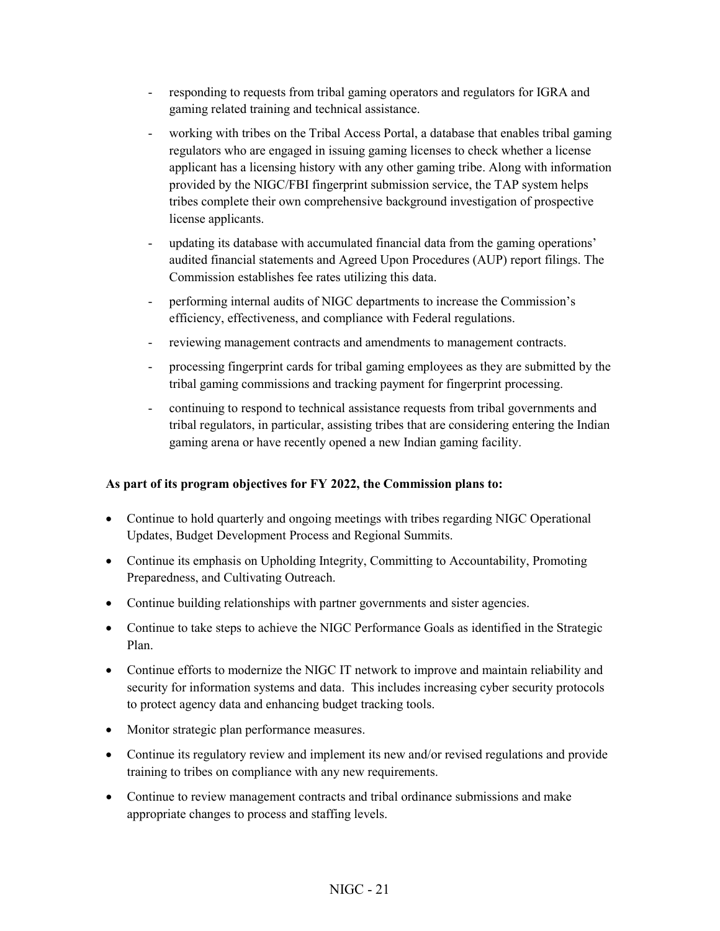- responding to requests from tribal gaming operators and regulators for IGRA and gaming related training and technical assistance.
- working with tribes on the Tribal Access Portal, a database that enables tribal gaming regulators who are engaged in issuing gaming licenses to check whether a license applicant has a licensing history with any other gaming tribe. Along with information provided by the NIGC/FBI fingerprint submission service, the TAP system helps tribes complete their own comprehensive background investigation of prospective license applicants.
- updating its database with accumulated financial data from the gaming operations' audited financial statements and Agreed Upon Procedures (AUP) report filings. The Commission establishes fee rates utilizing this data.
- performing internal audits of NIGC departments to increase the Commission's efficiency, effectiveness, and compliance with Federal regulations.
- reviewing management contracts and amendments to management contracts.
- processing fingerprint cards for tribal gaming employees as they are submitted by the tribal gaming commissions and tracking payment for fingerprint processing.
- continuing to respond to technical assistance requests from tribal governments and tribal regulators, in particular, assisting tribes that are considering entering the Indian gaming arena or have recently opened a new Indian gaming facility.

#### **As part of its program objectives for FY 2022, the Commission plans to:**

- Continue to hold quarterly and ongoing meetings with tribes regarding NIGC Operational Updates, Budget Development Process and Regional Summits.
- Continue its emphasis on Upholding Integrity, Committing to Accountability, Promoting Preparedness, and Cultivating Outreach.
- Continue building relationships with partner governments and sister agencies.
- Continue to take steps to achieve the NIGC Performance Goals as identified in the Strategic Plan.
- Continue efforts to modernize the NIGC IT network to improve and maintain reliability and security for information systems and data. This includes increasing cyber security protocols to protect agency data and enhancing budget tracking tools.
- Monitor strategic plan performance measures.
- Continue its regulatory review and implement its new and/or revised regulations and provide training to tribes on compliance with any new requirements.
- Continue to review management contracts and tribal ordinance submissions and make appropriate changes to process and staffing levels.